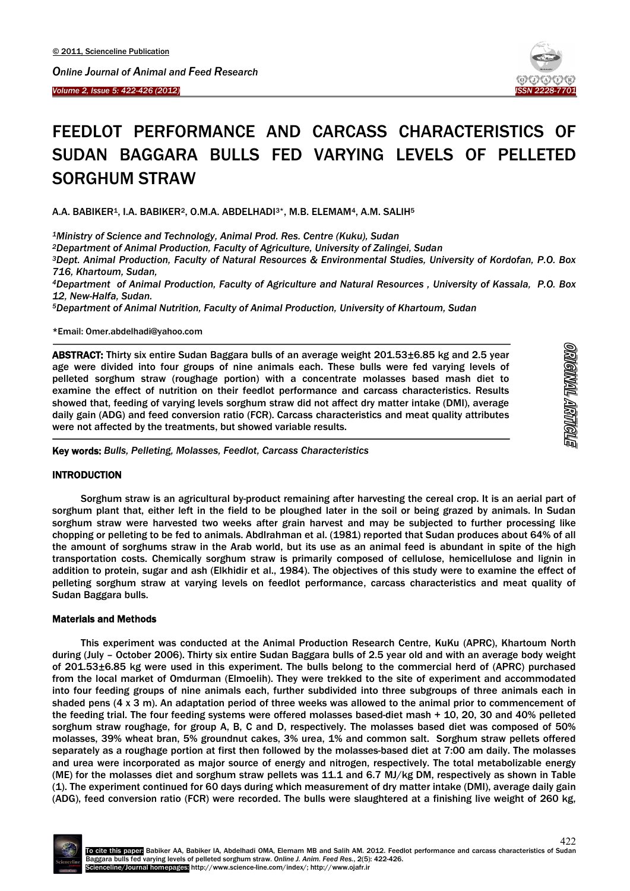*Volume 2, Issue 5: 422-426 (2012) ISSN 2228-7701* 



# FEEDLOT PERFORMANCE AND CARCASS CHARACTERISTICS OF SUDAN BAGGARA BULLS FED VARYING LEVELS OF PELLETED SORGHUM STRAW

A.A. BABIKER1, I.A. BABIKER2, O.M.A. ABDELHADI3\*, M.B. ELEMAM4, A.M. SALIH5

*1Ministry of Science and Technology, Animal Prod. Res. Centre (Kuku), Sudan*

*2Department of Animal Production, Faculty of Agriculture, University of Zalingei, Sudan*

*3Dept. Animal Production, Faculty of Natural Resources & Environmental Studies, University of Kordofan, P.O. Box 716, Khartoum, Sudan,*

*4Department of Animal Production, Faculty of Agriculture and Natural Resources , University of Kassala, P.O. Box 12, New-Halfa, Sudan.*

*5Department of Animal Nutrition, Faculty of Animal Production, University of Khartoum, Sudan*

\*Email: Omer.abdelhadi@yahoo.com

ABSTRACT: Thirty six entire Sudan Baggara bulls of an average weight 201.53±6.85 kg and 2.5 year age were divided into four groups of nine animals each. These bulls were fed varying levels of pelleted sorghum straw (roughage portion) with a concentrate molasses based mash diet to examine the effect of nutrition on their feedlot performance and carcass characteristics. Results showed that, feeding of varying levels sorghum straw did not affect dry matter intake (DMI), average daily gain (ADG) and feed conversion ratio (FCR). Carcass characteristics and meat quality attributes were not affected by the treatments, but showed variable results.

| ٦ |
|---|
|   |
|   |
|   |
|   |
|   |
|   |
|   |
|   |
|   |
|   |
|   |
|   |
|   |
|   |
|   |
|   |
|   |
|   |
|   |
|   |

Key words: *Bulls, Pelleting, Molasses, Feedlot, Carcass Characteristics*

# **INTRODUCTION**

Sorghum straw is an agricultural by-product remaining after harvesting the cereal crop. It is an aerial part of sorghum plant that, either left in the field to be ploughed later in the soil or being grazed by animals. In Sudan sorghum straw were harvested two weeks after grain harvest and may be subjected to further processing like chopping or pelleting to be fed to animals. Abdlrahman et al. (1981) reported that Sudan produces about 64% of all the amount of sorghums straw in the Arab world, but its use as an animal feed is abundant in spite of the high transportation costs. Chemically sorghum straw is primarily composed of cellulose, hemicellulose and lignin in addition to protein, sugar and ash (Elkhidir et al., 1984). The objectives of this study were to examine the effect of pelleting sorghum straw at varying levels on feedlot performance, carcass characteristics and meat quality of Sudan Baggara bulls.

# Materials and Methods

This experiment was conducted at the Animal Production Research Centre, KuKu (APRC), Khartoum North during (July – October 2006). Thirty six entire Sudan Baggara bulls of 2.5 year old and with an average body weight of 201.53±6.85 kg were used in this experiment. The bulls belong to the commercial herd of (APRC) purchased from the local market of Omdurman (Elmoelih). They were trekked to the site of experiment and accommodated into four feeding groups of nine animals each, further subdivided into three subgroups of three animals each in shaded pens (4 x 3 m). An adaptation period of three weeks was allowed to the animal prior to commencement of the feeding trial. The four feeding systems were offered molasses based-diet mash + 10, 20, 30 and 40% pelleted sorghum straw roughage, for group A, B, C and D, respectively. The molasses based diet was composed of 50% molasses, 39% wheat bran, 5% groundnut cakes, 3% urea, 1% and common salt. Sorghum straw pellets offered separately as a roughage portion at first then followed by the molasses-based diet at 7:00 am daily. The molasses and urea were incorporated as major source of energy and nitrogen, respectively. The total metabolizable energy (ME) for the molasses diet and sorghum straw pellets was 11.1 and 6.7 MJ/kg DM, respectively as shown in Table (1). The experiment continued for 60 days during which measurement of dry matter intake (DMI), average daily gain (ADG), feed conversion ratio (FCR) were recorded. The bulls were slaughtered at a finishing live weight of 260 kg,

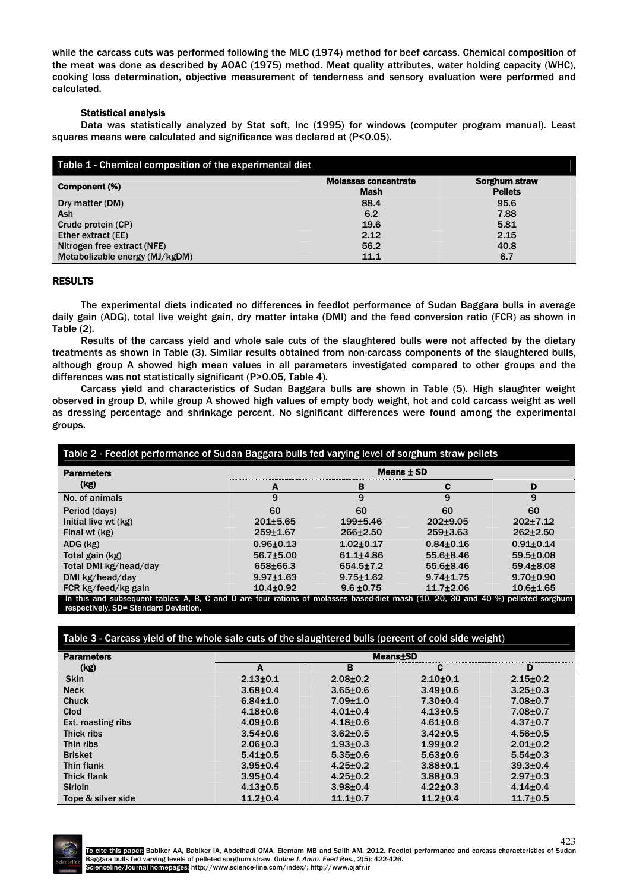while the carcass cuts was performed following the MLC (1974) method for beef carcass. Chemical composition of the meat was done as described by AOAC (1975) method. Meat quality attributes, water holding capacity (WHC), cooking loss determination, objective measurement of tenderness and sensory evaluation were performed and calculated.

# Statistical analysis

Data was statistically analyzed by Stat soft, Inc (1995) for windows (computer program manual). Least squares means were calculated and significance was declared at (P<0.05).

| Table 1 - Chemical composition of the experimental diet |                                     |                                        |
|---------------------------------------------------------|-------------------------------------|----------------------------------------|
| Component (%)                                           | <b>Molasses concentrate</b><br>Mash | <b>Sorghum straw</b><br><b>Pellets</b> |
| Dry matter (DM)                                         | 88.4                                | 95.6                                   |
| Ash                                                     | 6.2                                 | 7.88                                   |
| Crude protein (CP)                                      | 19.6                                | 5.81                                   |
| Ether extract (EE)                                      | 2.12                                | 2.15                                   |
| Nitrogen free extract (NFE)                             | 56.2                                | 40.8                                   |
| Metabolizable energy (MJ/kgDM)                          | 11.1                                | 6.7                                    |

## RESULTS

The experimental diets indicated no differences in feedlot performance of Sudan Baggara bulls in average daily gain (ADG), total live weight gain, dry matter intake (DMI) and the feed conversion ratio (FCR) as shown in Table (2).

Results of the carcass yield and whole sale cuts of the slaughtered bulls were not affected by the dietary treatments as shown in Table (3). Similar results obtained from non-carcass components of the slaughtered bulls, although group A showed high mean values in all parameters investigated compared to other groups and the differences was not statistically significant (P>0.05, Table 4).

Carcass yield and characteristics of Sudan Baggara bulls are shown in Table (5). High slaughter weight observed in group D, while group A showed high values of empty body weight, hot and cold carcass weight as well as dressing percentage and shrinkage percent. No significant differences were found among the experimental groups.

| <b>Parameters</b>     |                 |                 | Means $\pm$ SD  |                 |  |
|-----------------------|-----------------|-----------------|-----------------|-----------------|--|
| (kg)                  | А               | в               | С               | D               |  |
| No. of animals        | 9               | 9               | 9               | 9               |  |
| Period (days)         | 60              | 60              | 60              | 60              |  |
| Initial live wt (kg)  | $201 + 5.65$    | $199 + 5.46$    | $202+9.05$      | $202+7.12$      |  |
| Final wt (kg)         | $259 + 167$     | $266 \pm 2.50$  | 259±3.63        | $262 \pm 2.50$  |  |
| $ADG$ ( $kg$ )        | $0.96 + 0.13$   | $1.02 + 0.17$   | $0.84 + 0.16$   | $0.91 + 0.14$   |  |
| Total gain (kg)       | $56.7{\pm}5.00$ | $61.1 + 4.86$   | $55.6 + 8.46$   | $59.5 \pm 0.08$ |  |
| Total DMI kg/head/day | 658±66.3        | $654.5 \pm 7.2$ | 55.6±8.46       | $59.4 \pm 8.08$ |  |
| DMI kg/head/day       | $9.97 \pm 1.63$ | $9.75 + 1.62$   | $9.74 \pm 1.75$ | $9.70 \pm 0.90$ |  |
| FCR kg/feed/kg gain   | $10.4 + 0.92$   | $9.6 \pm 0.75$  | $11.7 + 2.06$   | $10.6 + 1.65$   |  |

Table 3 - Carcass yield of the whole sale cuts of the slaughtered bulls (percent of cold side weight)

| <b>Parameters</b>  | <b>Means</b> ±SD |                |                |                |  |
|--------------------|------------------|----------------|----------------|----------------|--|
| (kg)               | А                | в              | С              | D              |  |
| <b>Skin</b>        | $2.13 + 0.1$     | $2.08 + 0.2$   | $2.10 + 0.1$   | $2.15 \pm 0.2$ |  |
| <b>Neck</b>        | $3.68 + 0.4$     | $3.65 \pm 0.6$ | $3.49 \pm 0.6$ | $3.25 \pm 0.3$ |  |
| <b>Chuck</b>       | $6.84 \pm 1.0$   | $7.09 + 1.0$   | $7.30 + 0.4$   | $7.08 \pm 0.7$ |  |
| Clod               | $4.18 + 0.6$     | $4.01 \pm 0.4$ | $4.13 \pm 0.5$ | $7.08 \pm 0.7$ |  |
| Ext. roasting ribs | $4.09 \pm 0.6$   | $4.18 + 0.6$   | $4.61 \pm 0.6$ | $4.37 \pm 0.7$ |  |
| Thick ribs         | $3.54 \pm 0.6$   | $3.62 \pm 0.5$ | $3.42 \pm 0.5$ | $4.56 \pm 0.5$ |  |
| Thin ribs          | $2.06 \pm 0.3$   | $1.93 \pm 0.3$ | $1.99 + 0.2$   | $2.01 \pm 0.2$ |  |
| <b>Brisket</b>     | $5.41 + 0.5$     | $5.35 \pm 0.6$ | $5.63 \pm 0.6$ | $5.54 \pm 0.3$ |  |
| Thin flank         | $3.95 \pm 0.4$   | $4.25 \pm 0.2$ | $3.88 + 0.1$   | $39.3{\pm}0.4$ |  |
| <b>Thick flank</b> | $3.95 \pm 0.4$   | $4.25 \pm 0.2$ | $3.88 \pm 0.3$ | $2.97 \pm 0.3$ |  |
| <b>Sirloin</b>     | $4.13 \pm 0.5$   | $3.98 + 0.4$   | $4.22 \pm 0.3$ | $4.14 \pm 0.4$ |  |
| Tope & silver side | $11.2 + 0.4$     | $11.1 + 0.7$   | $11.2 + 0.4$   | $11.7 \pm 0.5$ |  |

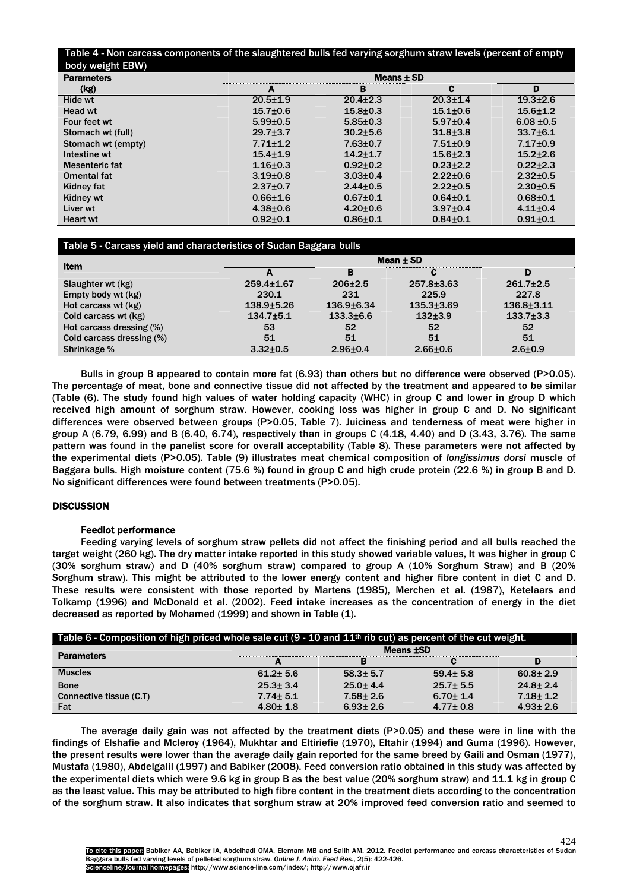## Table 4 - Non carcass components of the slaughtered bulls fed varying sorghum straw levels (percent of empty body weight EBW)

| --<br><b>Parameters</b> | Means $\pm$ SD |                |                |                |
|-------------------------|----------------|----------------|----------------|----------------|
| (kg)                    | А              | в              | С              | D              |
| Hide wt                 | $20.5 + 1.9$   | $20.4 \pm 2.3$ | $20.3 + 1.4$   | $19.3 + 2.6$   |
| Head wt                 | $15.7 + 0.6$   | $15.8 + 0.3$   | $15.1 + 0.6$   | $15.6 + 1.2$   |
| Four feet wt            | $5.99 + 0.5$   | $5.85 \pm 0.3$ | $5.97 \pm 0.4$ | $6.08 \pm 0.5$ |
| Stomach wt (full)       | $29.7 \pm 3.7$ | $30.2 + 5.6$   | $31.8 + 3.8$   | $33.7 + 6.1$   |
| Stomach wt (empty)      | $7.71 + 1.2$   | $7.63 \pm 0.7$ | $7.51 \pm 0.9$ | $7.17 \pm 0.9$ |
| Intestine wt            | $15.4 + 1.9$   | $14.2 + 1.7$   | $15.6 + 2.3$   | $15.2 + 2.6$   |
| Mesenteric fat          | $1.16 + 0.3$   | $0.92 \pm 0.2$ | $0.23 + 2.2$   | $0.22 \pm 2.3$ |
| Omental fat             | $3.19 + 0.8$   | $3.03 \pm 0.4$ | $2.22 \pm 0.6$ | $2.32 \pm 0.5$ |
| Kidney fat              | $2.37 + 0.7$   | $2.44 \pm 0.5$ | $2.22 \pm 0.5$ | $2.30 \pm 0.5$ |
| Kidney wt               | $0.66 + 1.6$   | $0.67 + 0.1$   | $0.64 + 0.1$   | $0.68 + 0.1$   |
| Liver wt                | $4.38 + 0.6$   | $4.20 \pm 0.6$ | $3.97 \pm 0.4$ | $4.11 \pm 0.4$ |
| <b>Heart wt</b>         | $0.92 + 0.1$   | $0.86 + 0.1$   | $0.84 + 0.1$   | $0.91 \pm 0.1$ |

# Table 5 - Carcass yield and characteristics of Sudan Baggara bulls

| Item                      |                  |                 | Mean $\pm$ SD  |                  |
|---------------------------|------------------|-----------------|----------------|------------------|
|                           | А                | в               |                | D                |
| Slaughter wt (kg)         | $259.4 \pm 1.67$ | $206 + 2.5$     | $257.8 + 3.63$ | $261.7 + 2.5$    |
| Empty body wt (kg)        | 230.1            | 231             | 225.9          | 227.8            |
| Hot carcass wt (kg)       | $138.9 + 5.26$   | $136.9 + 6.34$  | $135.3 + 3.69$ | $136.8 \pm 3.11$ |
| Cold carcass wt (kg)      | $134.7 \pm 5.1$  | $133.3 \pm 6.6$ | $132+3.9$      | $133.7 \pm 3.3$  |
| Hot carcass dressing (%)  | 53               | 52              | 52             | 52               |
| Cold carcass dressing (%) | 51               | 51              | 51             | 51               |
| Shrinkage %               | $3.32 \pm 0.5$   | $2.96 + 0.4$    | $2.66 + 0.6$   | $2.6 + 0.9$      |

Bulls in group B appeared to contain more fat (6.93) than others but no difference were observed (P>0.05). The percentage of meat, bone and connective tissue did not affected by the treatment and appeared to be similar (Table (6). The study found high values of water holding capacity (WHC) in group C and lower in group D which received high amount of sorghum straw. However, cooking loss was higher in group C and D. No significant differences were observed between groups (P>0.05, Table 7). Juiciness and tenderness of meat were higher in group A (6.79, 6.99) and B (6.40, 6.74), respectively than in groups C (4.18, 4.40) and D (3.43, 3.76). The same pattern was found in the panelist score for overall acceptability (Table 8). These parameters were not affected by the experimental diets (P>0.05). Table (9) illustrates meat chemical composition of *longissimus dorsi* muscle of Baggara bulls. High moisture content (75.6 %) found in group C and high crude protein (22.6 %) in group B and D. No significant differences were found between treatments (P>0.05).

# **DISCUSSION**

# Feedlot performance

Feeding varying levels of sorghum straw pellets did not affect the finishing period and all bulls reached the target weight (260 kg). The dry matter intake reported in this study showed variable values, It was higher in group C (30% sorghum straw) and D (40% sorghum straw) compared to group A (10% Sorghum Straw) and B (20% Sorghum straw). This might be attributed to the lower energy content and higher fibre content in diet C and D. These results were consistent with those reported by Martens (1985), Merchen et al. (1987), Ketelaars and Tolkamp (1996) and McDonald et al. (2002). Feed intake increases as the concentration of energy in the diet decreased as reported by Mohamed (1999) and shown in Table (1).

| Table 6 - Composition of high priced whole sale cut $(9 - 10)$ and $11th$ rib cut) as percent of the cut weight. |                |                  |                |                |
|------------------------------------------------------------------------------------------------------------------|----------------|------------------|----------------|----------------|
| <b>Parameters</b>                                                                                                |                | Means <b>±SD</b> |                |                |
|                                                                                                                  |                |                  |                |                |
| <b>Muscles</b>                                                                                                   | $61.2 \pm 5.6$ | $58.3 \pm 5.7$   | $59.4 \pm 5.8$ | $60.8 \pm 2.9$ |
| <b>Bone</b>                                                                                                      | $25.3 \pm 3.4$ | $25.0 + 4.4$     | $25.7 \pm 5.5$ | $24.8 \pm 2.4$ |
| Connective tissue (C.T)                                                                                          | $7.74 \pm 5.1$ | $7.58 \pm 2.6$   | $6.70 \pm 1.4$ | $7.18 \pm 1.2$ |
| Fat                                                                                                              | $4.80 \pm 1.8$ | $6.93 \pm 2.6$   | $4.77 \pm 0.8$ | $4.93 \pm 2.6$ |

The average daily gain was not affected by the treatment diets (P>0.05) and these were in line with the findings of Elshafie and Mcleroy (1964), Mukhtar and Eltiriefie (1970), Eltahir (1994) and Guma (1996). However, the present results were lower than the average daily gain reported for the same breed by Gaili and Osman (1977), Mustafa (1980), Abdelgalil (1997) and Babiker (2008). Feed conversion ratio obtained in this study was affected by the experimental diets which were 9.6 kg in group B as the best value (20% sorghum straw) and 11.1 kg in group C as the least value. This may be attributed to high fibre content in the treatment diets according to the concentration of the sorghum straw. It also indicates that sorghum straw at 20% improved feed conversion ratio and seemed to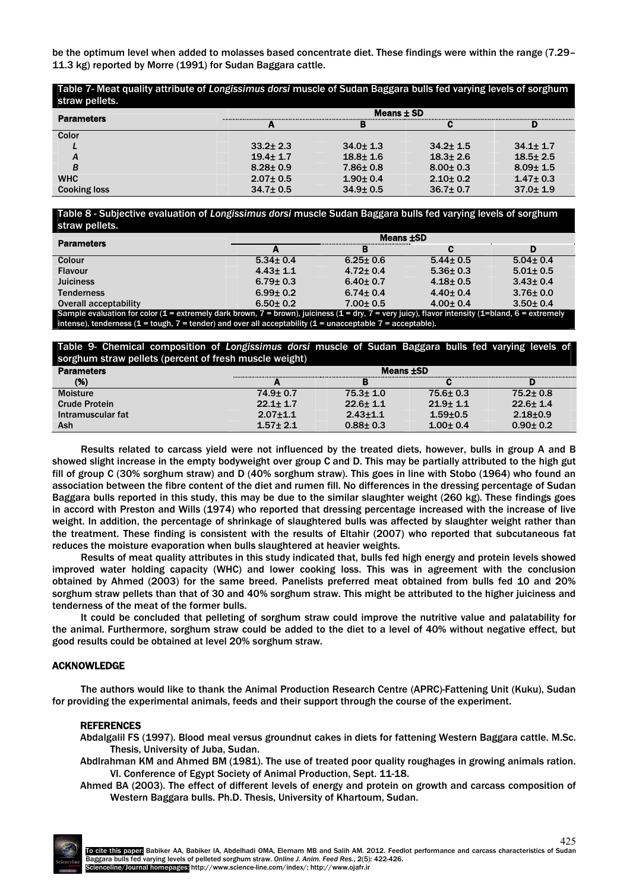be the optimum level when added to molasses based concentrate diet. These findings were within the range (7.29– 11.3 kg) reported by Morre (1991) for Sudan Baggara cattle.

Table 7- Meat quality attribute of *Longissimus dorsi* muscle of Sudan Baggara bulls fed varying levels of sorghum straw pellets

| <b>Parameters</b>   |                | Means $\pm$ SD |                |                |
|---------------------|----------------|----------------|----------------|----------------|
|                     |                |                |                |                |
| Color               |                |                |                |                |
|                     | $33.2 \pm 2.3$ | $34.0 \pm 1.3$ | $34.2 \pm 1.5$ | $34.1 \pm 1.7$ |
| A                   | $19.4 \pm 1.7$ | $18.8 \pm 1.6$ | $18.3 \pm 2.6$ | $18.5 \pm 2.5$ |
| B                   | $8.28 \pm 0.9$ | $7.86 \pm 0.8$ | $8.00 \pm 0.3$ | $8.09 \pm 1.5$ |
| <b>WHC</b>          | $2.07 \pm 0.5$ | $1.90 \pm 0.4$ | $2.10 \pm 0.2$ | $1.47 \pm 0.3$ |
| <b>Cooking loss</b> | $34.7 \pm 0.5$ | $34.9 \pm 0.5$ | $36.7 \pm 0.7$ | $37.0 \pm 1.9$ |

Table 8 - Subjective evaluation of *Longissimus dorsi* muscle Sudan Baggara bulls fed varying levels of sorghum straw pellets

| <b>Parameters</b>                                                                                                                                | <b>Means ±SD</b> |                |                |                |
|--------------------------------------------------------------------------------------------------------------------------------------------------|------------------|----------------|----------------|----------------|
|                                                                                                                                                  |                  | в              | r              | D              |
| Colour                                                                                                                                           | $5.34 \pm 0.4$   | $6.25 \pm 0.6$ | $5.44 \pm 0.5$ | $5.04 \pm 0.4$ |
| <b>Flavour</b>                                                                                                                                   | $4.43 \pm 1.1$   | $4.72 \pm 0.4$ | $5.36 \pm 0.3$ | $5.01 \pm 0.5$ |
| <b>Juiciness</b>                                                                                                                                 | $6.79 \pm 0.3$   | $6.40 \pm 0.7$ | $4.18 \pm 0.5$ | $3.43 \pm 0.4$ |
| <b>Tenderness</b>                                                                                                                                | $6.99 \pm 0.2$   | $6.74 \pm 0.4$ | $4.40 \pm 0.4$ | $3.76 \pm 0.0$ |
| Overall acceptability                                                                                                                            | $6.50 \pm 0.2$   | $7.00 \pm 0.5$ | $4.00 \pm 0.4$ | $3.50 \pm 0.4$ |
| Sample evaluation for color (1 = extremely dark brown, 7 = brown), juiciness (1 = dry, 7 = very juicy), flavor intensity (1=bland, 6 = extremely |                  |                |                |                |
| intense), tenderness (1 = tough, 7 = tender) and over all acceptability (1 = unacceptable 7 = acceptable).                                       |                  |                |                |                |

Table 9- Chemical composition of *Longissimus dorsi* muscle of Sudan Baggara bulls fed varying levels of sorghum straw pellets (percent of fresh muscle weight)

| <b>Parameters</b>    | <u>the condition of the contract of the contract of the condition of the condition of the condition of the condition of the condition of the condition of the condition of the condition of the condition of the condition of th</u><br>Means <b>±SD</b> |                |                |                |
|----------------------|----------------------------------------------------------------------------------------------------------------------------------------------------------------------------------------------------------------------------------------------------------|----------------|----------------|----------------|
| (%)                  |                                                                                                                                                                                                                                                          | в              |                |                |
| <b>Moisture</b>      | $74.9 \pm 0.7$                                                                                                                                                                                                                                           | $75.3 \pm 1.0$ | $75.6 \pm 0.3$ | $75.2 \pm 0.8$ |
| <b>Crude Protein</b> | $22.1 \pm 1.7$                                                                                                                                                                                                                                           | $22.6 \pm 1.1$ | $21.9 \pm 1.1$ | $22.6 \pm 1.4$ |
| Intramuscular fat    | $2.07 + 1.1$                                                                                                                                                                                                                                             | $2.43 \pm 1.1$ | $1.59 + 0.5$   | $2.18 + 0.9$   |
| Ash                  | $1.57 + 2.1$                                                                                                                                                                                                                                             | $0.88 \pm 0.3$ | $1.00 \pm 0.4$ | $0.90 \pm 0.2$ |

Results related to carcass yield were not influenced by the treated diets, however, bulls in group A and B showed slight increase in the empty bodyweight over group C and D. This may be partially attributed to the high gut fill of group C (30% sorghum straw) and D (40% sorghum straw). This goes in line with Stobo (1964) who found an association between the fibre content of the diet and rumen fill. No differences in the dressing percentage of Sudan Baggara bulls reported in this study, this may be due to the similar slaughter weight (260 kg). These findings goes in accord with Preston and Wills (1974) who reported that dressing percentage increased with the increase of live weight. In addition, the percentage of shrinkage of slaughtered bulls was affected by slaughter weight rather than the treatment. These finding is consistent with the results of Eltahir (2007) who reported that subcutaneous fat reduces the moisture evaporation when bulls slaughtered at heavier weights.

Results of meat quality attributes in this study indicated that, bulls fed high energy and protein levels showed improved water holding capacity (WHC) and lower cooking loss. This was in agreement with the conclusion obtained by Ahmed (2003) for the same breed. Panelists preferred meat obtained from bulls fed 10 and 20% sorghum straw pellets than that of 30 and 40% sorghum straw. This might be attributed to the higher juiciness and tenderness of the meat of the former bulls.

It could be concluded that pelleting of sorghum straw could improve the nutritive value and palatability for the animal. Furthermore, sorghum straw could be added to the diet to a level of 40% without negative effect, but good results could be obtained at level 20% sorghum straw.

## ACKNOWLEDGE

The authors would like to thank the Animal Production Research Centre (APRC)-Fattening Unit (Kuku), Sudan for providing the experimental animals, feeds and their support through the course of the experiment.

## REFERENCES

- Abdalgalil FS (1997). Blood meal versus groundnut cakes in diets for fattening Western Baggara cattle. M.Sc. Thesis, University of Juba, Sudan.
- Abdlrahman KM and Ahmed BM (1981). The use of treated poor quality roughages in growing animals ration. VI. Conference of Egypt Society of Animal Production, Sept. 11-18.
- Ahmed BA (2003). The effect of different levels of energy and protein on growth and carcass composition of Western Baggara bulls. Ph.D. Thesis, University of Khartoum, Sudan.